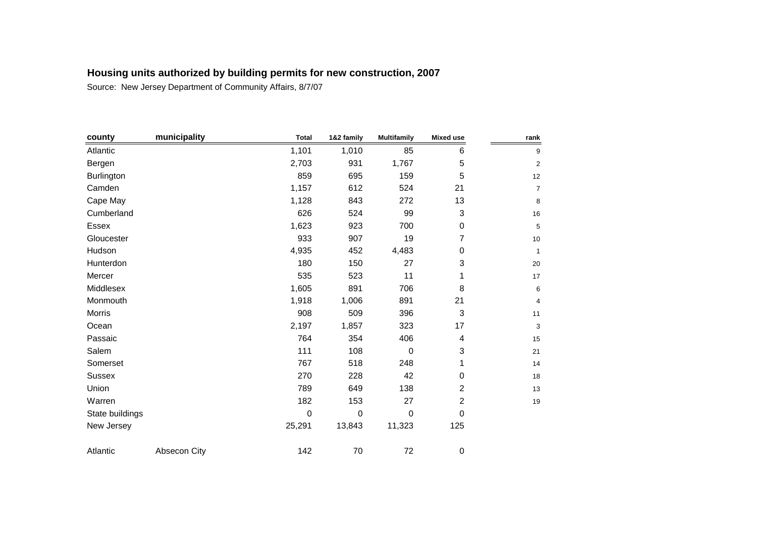| county          | municipality | <b>Total</b> | 1&2 family | <b>Multifamily</b> | <b>Mixed use</b> | rank           |
|-----------------|--------------|--------------|------------|--------------------|------------------|----------------|
| Atlantic        |              | 1,101        | 1,010      | 85                 | 6                | 9              |
| Bergen          |              | 2,703        | 931        | 1,767              | 5                | $\overline{2}$ |
| Burlington      |              | 859          | 695        | 159                | 5                | 12             |
| Camden          |              | 1,157        | 612        | 524                | 21               | $\overline{7}$ |
| Cape May        |              | 1,128        | 843        | 272                | 13               | $\bf 8$        |
| Cumberland      |              | 626          | 524        | 99                 | 3                | 16             |
| Essex           |              | 1,623        | 923        | 700                | $\pmb{0}$        | 5              |
| Gloucester      |              | 933          | 907        | 19                 | 7                | 10             |
| Hudson          |              | 4,935        | 452        | 4,483              | 0                | $\mathbf{1}$   |
| Hunterdon       |              | 180          | 150        | 27                 | 3                | 20             |
| Mercer          |              | 535          | 523        | 11                 |                  | $17$           |
| Middlesex       |              | 1,605        | 891        | 706                | 8                | 6              |
| Monmouth        |              | 1,918        | 1,006      | 891                | 21               | 4              |
| Morris          |              | 908          | 509        | 396                | 3                | 11             |
| Ocean           |              | 2,197        | 1,857      | 323                | 17               | 3              |
| Passaic         |              | 764          | 354        | 406                | 4                | 15             |
| Salem           |              | 111          | 108        | $\mathbf 0$        | 3                | 21             |
| Somerset        |              | 767          | 518        | 248                | 1                | 14             |
| <b>Sussex</b>   |              | 270          | 228        | 42                 | $\mathbf 0$      | 18             |
| Union           |              | 789          | 649        | 138                | $\overline{c}$   | 13             |
| Warren          |              | 182          | 153        | 27                 | $\overline{c}$   | 19             |
| State buildings |              | $\mathbf 0$  | 0          | $\mathbf 0$        | $\mathbf 0$      |                |
| New Jersey      |              | 25,291       | 13,843     | 11,323             | 125              |                |
| Atlantic        | Absecon City | 142          | $70\,$     | 72                 | $\pmb{0}$        |                |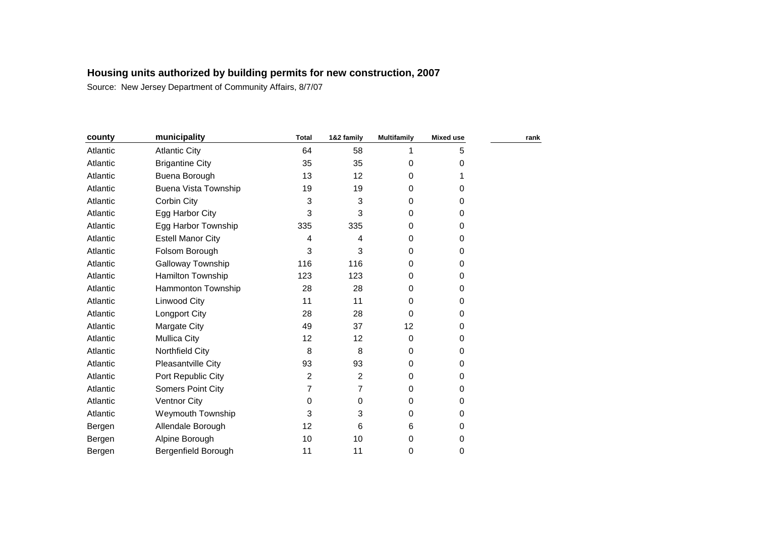| county   | municipality             | <b>Total</b> | 1&2 family | <b>Multifamily</b> | <b>Mixed use</b> | rank |
|----------|--------------------------|--------------|------------|--------------------|------------------|------|
| Atlantic | <b>Atlantic City</b>     | 64           | 58         |                    | 5                |      |
| Atlantic | <b>Brigantine City</b>   | 35           | 35         | 0                  | 0                |      |
| Atlantic | Buena Borough            | 13           | 12         | 0                  | 1                |      |
| Atlantic | Buena Vista Township     | 19           | 19         | 0                  | 0                |      |
| Atlantic | Corbin City              | 3            | 3          | 0                  | 0                |      |
| Atlantic | Egg Harbor City          | 3            | 3          | 0                  | 0                |      |
| Atlantic | Egg Harbor Township      | 335          | 335        | 0                  | 0                |      |
| Atlantic | <b>Estell Manor City</b> | 4            | 4          | $\Omega$           | 0                |      |
| Atlantic | Folsom Borough           | 3            | 3          | 0                  | 0                |      |
| Atlantic | Galloway Township        | 116          | 116        | 0                  | 0                |      |
| Atlantic | Hamilton Township        | 123          | 123        | 0                  | 0                |      |
| Atlantic | Hammonton Township       | 28           | 28         | 0                  | 0                |      |
| Atlantic | Linwood City             | 11           | 11         | 0                  | 0                |      |
| Atlantic | <b>Longport City</b>     | 28           | 28         | $\Omega$           | 0                |      |
| Atlantic | Margate City             | 49           | 37         | 12                 | 0                |      |
| Atlantic | <b>Mullica City</b>      | 12           | 12         | 0                  | 0                |      |
| Atlantic | Northfield City          | 8            | 8          | 0                  | 0                |      |
| Atlantic | Pleasantville City       | 93           | 93         | $\Omega$           | 0                |      |
| Atlantic | Port Republic City       | 2            | 2          | $\Omega$           | 0                |      |
| Atlantic | Somers Point City        | 7            | 7          | 0                  | 0                |      |
| Atlantic | <b>Ventnor City</b>      | 0            | 0          | 0                  | 0                |      |
| Atlantic | Weymouth Township        | 3            | 3          | 0                  | 0                |      |
| Bergen   | Allendale Borough        | 12           | 6          | 6                  | 0                |      |
| Bergen   | Alpine Borough           | 10           | 10         | 0                  | 0                |      |
| Bergen   | Bergenfield Borough      | 11           | 11         | 0                  | 0                |      |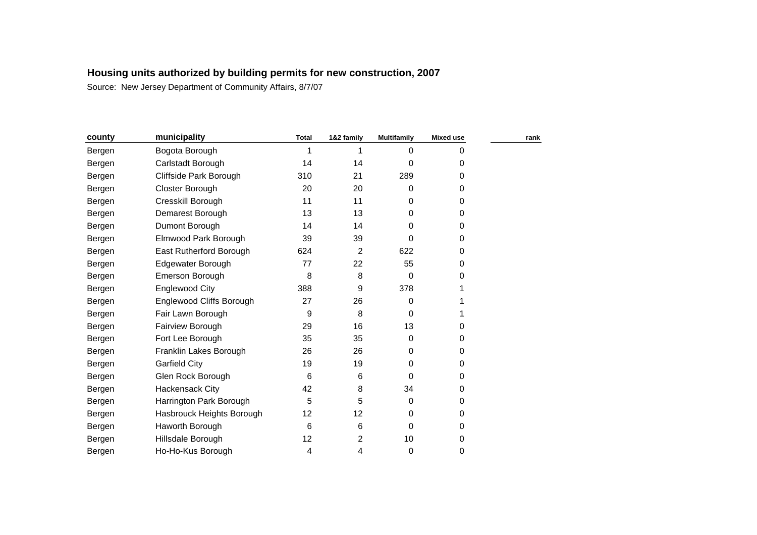| county | municipality              | <b>Total</b> | 1&2 family     | <b>Multifamily</b> | <b>Mixed use</b> | rank |
|--------|---------------------------|--------------|----------------|--------------------|------------------|------|
| Bergen | Bogota Borough            |              |                | 0                  | 0                |      |
| Bergen | Carlstadt Borough         | 14           | 14             | 0                  | 0                |      |
| Bergen | Cliffside Park Borough    | 310          | 21             | 289                | 0                |      |
| Bergen | Closter Borough           | 20           | 20             | 0                  | 0                |      |
| Bergen | Cresskill Borough         | 11           | 11             | 0                  | 0                |      |
| Bergen | Demarest Borough          | 13           | 13             | $\Omega$           | 0                |      |
| Bergen | Dumont Borough            | 14           | 14             | 0                  | 0                |      |
| Bergen | Elmwood Park Borough      | 39           | 39             | 0                  | 0                |      |
| Bergen | East Rutherford Borough   | 624          | $\overline{2}$ | 622                | 0                |      |
| Bergen | Edgewater Borough         | 77           | 22             | 55                 | 0                |      |
| Bergen | Emerson Borough           | 8            | 8              | $\Omega$           | $\Omega$         |      |
| Bergen | <b>Englewood City</b>     | 388          | 9              | 378                |                  |      |
| Bergen | Englewood Cliffs Borough  | 27           | 26             | 0                  |                  |      |
| Bergen | Fair Lawn Borough         | 9            | 8              | 0                  |                  |      |
| Bergen | Fairview Borough          | 29           | 16             | 13                 | 0                |      |
| Bergen | Fort Lee Borough          | 35           | 35             | 0                  | 0                |      |
| Bergen | Franklin Lakes Borough    | 26           | 26             | $\Omega$           | 0                |      |
| Bergen | <b>Garfield City</b>      | 19           | 19             | $\Omega$           | $\Omega$         |      |
| Bergen | Glen Rock Borough         | 6            | 6              | 0                  | 0                |      |
| Bergen | <b>Hackensack City</b>    | 42           | 8              | 34                 | 0                |      |
| Bergen | Harrington Park Borough   | 5            | 5              | 0                  | 0                |      |
| Bergen | Hasbrouck Heights Borough | 12           | 12             | 0                  | 0                |      |
| Bergen | Haworth Borough           | 6            | 6              | 0                  | 0                |      |
| Bergen | Hillsdale Borough         | 12           | $\overline{2}$ | 10                 | 0                |      |
| Bergen | Ho-Ho-Kus Borough         | 4            | 4              | 0                  | 0                |      |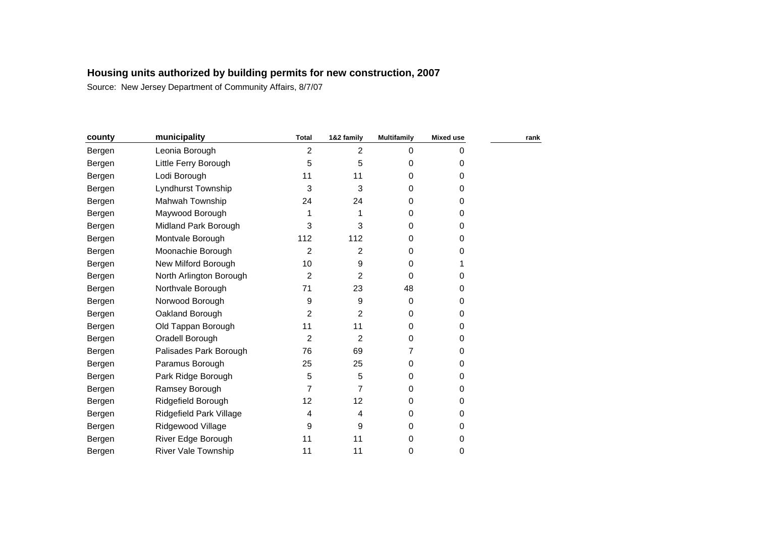| county | municipality               | <b>Total</b>   | 1&2 family     | <b>Multifamily</b> | Mixed use | rank |
|--------|----------------------------|----------------|----------------|--------------------|-----------|------|
| Bergen | Leonia Borough             | $\overline{2}$ | $\overline{2}$ | 0                  | 0         |      |
| Bergen | Little Ferry Borough       | 5              | 5              | 0                  | 0         |      |
| Bergen | Lodi Borough               | 11             | 11             | 0                  | 0         |      |
| Bergen | Lyndhurst Township         | 3              | 3              | $\Omega$           | 0         |      |
| Bergen | Mahwah Township            | 24             | 24             | 0                  | 0         |      |
| Bergen | Maywood Borough            | 1              | 1              | 0                  | 0         |      |
| Bergen | Midland Park Borough       | 3              | 3              | $\Omega$           | 0         |      |
| Bergen | Montvale Borough           | 112            | 112            | 0                  | 0         |      |
| Bergen | Moonachie Borough          | $\overline{2}$ | 2              | 0                  | 0         |      |
| Bergen | New Milford Borough        | 10             | 9              | 0                  |           |      |
| Bergen | North Arlington Borough    | $\overline{2}$ | $\overline{2}$ | $\Omega$           | 0         |      |
| Bergen | Northvale Borough          | 71             | 23             | 48                 | 0         |      |
| Bergen | Norwood Borough            | 9              | 9              | 0                  | 0         |      |
| Bergen | Oakland Borough            | 2              | 2              | $\Omega$           | 0         |      |
| Bergen | Old Tappan Borough         | 11             | 11             | 0                  | 0         |      |
| Bergen | Oradell Borough            | 2              | $\overline{2}$ | 0                  | 0         |      |
| Bergen | Palisades Park Borough     | 76             | 69             | 7                  | 0         |      |
| Bergen | Paramus Borough            | 25             | 25             | $\Omega$           | 0         |      |
| Bergen | Park Ridge Borough         | 5              | 5              | 0                  | 0         |      |
| Bergen | Ramsey Borough             | 7              | $\overline{7}$ | 0                  | 0         |      |
| Bergen | Ridgefield Borough         | 12             | 12             | 0                  | 0         |      |
| Bergen | Ridgefield Park Village    | 4              | 4              | $\Omega$           | 0         |      |
| Bergen | Ridgewood Village          | 9              | 9              | 0                  | 0         |      |
| Bergen | River Edge Borough         | 11             | 11             | 0                  | 0         |      |
| Bergen | <b>River Vale Township</b> | 11             | 11             | 0                  | 0         |      |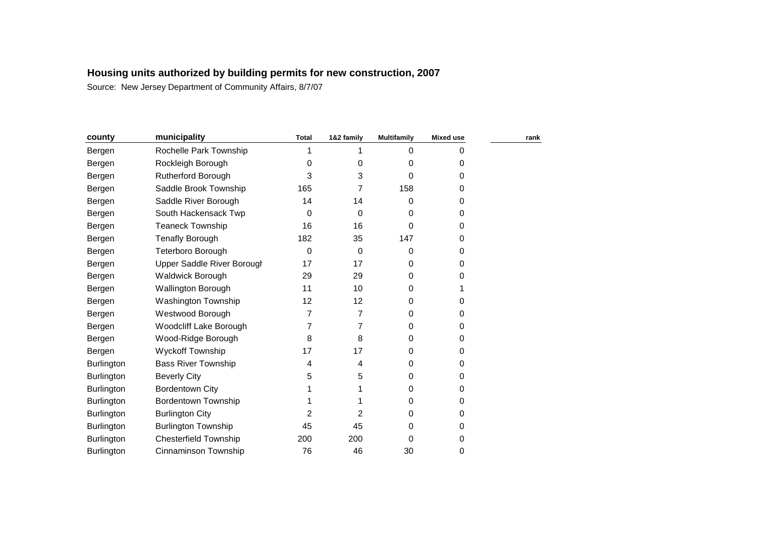| county            | municipality                 | <b>Total</b> | 1&2 family     | <b>Multifamily</b> | <b>Mixed use</b> | rank |
|-------------------|------------------------------|--------------|----------------|--------------------|------------------|------|
| Bergen            | Rochelle Park Township       |              |                | 0                  | 0                |      |
| Bergen            | Rockleigh Borough            | 0            | 0              | 0                  | 0                |      |
| Bergen            | <b>Rutherford Borough</b>    | 3            | 3              | 0                  | 0                |      |
| Bergen            | Saddle Brook Township        | 165          | 7              | 158                | 0                |      |
| Bergen            | Saddle River Borough         | 14           | 14             | 0                  | 0                |      |
| Bergen            | South Hackensack Twp         | 0            | 0              | 0                  | 0                |      |
| Bergen            | <b>Teaneck Township</b>      | 16           | 16             | 0                  | 0                |      |
| Bergen            | <b>Tenafly Borough</b>       | 182          | 35             | 147                | 0                |      |
| Bergen            | Teterboro Borough            | $\mathbf 0$  | $\mathbf 0$    | 0                  | 0                |      |
| Bergen            | Upper Saddle River Borough   | 17           | 17             | 0                  | 0                |      |
| Bergen            | <b>Waldwick Borough</b>      | 29           | 29             | 0                  | 0                |      |
| Bergen            | Wallington Borough           | 11           | 10             | 0                  |                  |      |
| Bergen            | Washington Township          | 12           | 12             | 0                  | 0                |      |
| Bergen            | Westwood Borough             | 7            | 7              | 0                  | 0                |      |
| Bergen            | Woodcliff Lake Borough       | 7            | 7              | 0                  | 0                |      |
| Bergen            | Wood-Ridge Borough           | 8            | 8              | 0                  | 0                |      |
| Bergen            | Wyckoff Township             | 17           | 17             | 0                  | 0                |      |
| <b>Burlington</b> | <b>Bass River Township</b>   | 4            | 4              | 0                  | 0                |      |
| Burlington        | <b>Beverly City</b>          | 5            | 5              | 0                  | 0                |      |
| <b>Burlington</b> | <b>Bordentown City</b>       |              |                | 0                  | 0                |      |
| <b>Burlington</b> | <b>Bordentown Township</b>   |              |                | 0                  | 0                |      |
| <b>Burlington</b> | <b>Burlington City</b>       | 2            | $\overline{2}$ | 0                  | 0                |      |
| Burlington        | <b>Burlington Township</b>   | 45           | 45             | 0                  | 0                |      |
| Burlington        | <b>Chesterfield Township</b> | 200          | 200            | 0                  | 0                |      |
| Burlington        | Cinnaminson Township         | 76           | 46             | 30                 | 0                |      |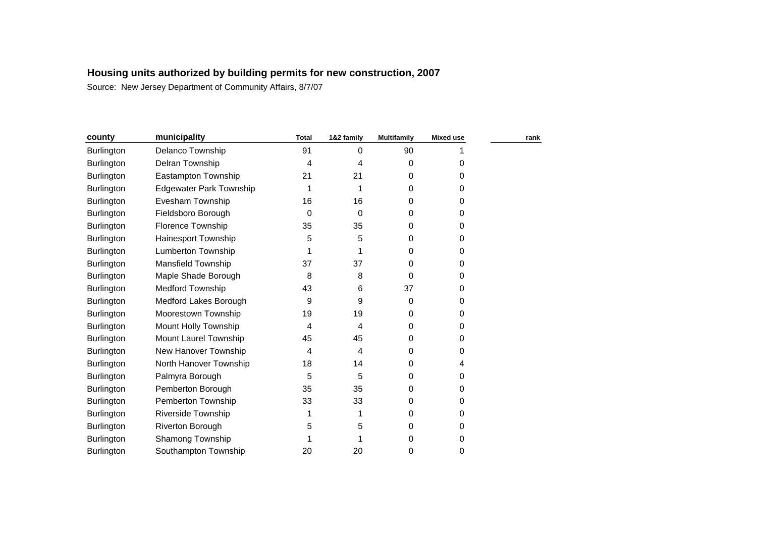| municipality                   | <b>Total</b> | 1&2 family | <b>Multifamily</b> | <b>Mixed use</b> | rank |
|--------------------------------|--------------|------------|--------------------|------------------|------|
| Delanco Township               | 91           | 0          | 90                 |                  |      |
| Delran Township                | 4            | 4          | 0                  | 0                |      |
| Eastampton Township            | 21           | 21         | 0                  | 0                |      |
| <b>Edgewater Park Township</b> |              | 1          | 0                  | 0                |      |
| Evesham Township               | 16           | 16         | 0                  | 0                |      |
| Fieldsboro Borough             | 0            | 0          | 0                  | $\Omega$         |      |
| <b>Florence Township</b>       | 35           | 35         | 0                  | 0                |      |
| Hainesport Township            | 5            | 5          | 0                  | 0                |      |
| Lumberton Township             |              | 1          | 0                  | 0                |      |
| Mansfield Township             | 37           | 37         | 0                  | 0                |      |
| Maple Shade Borough            | 8            | 8          | 0                  | 0                |      |
| <b>Medford Township</b>        | 43           | 6          | 37                 | 0                |      |
| Medford Lakes Borough          | 9            | 9          | 0                  | 0                |      |
| Moorestown Township            | 19           | 19         | 0                  | 0                |      |
| Mount Holly Township           | 4            | 4          | 0                  | 0                |      |
| Mount Laurel Township          | 45           | 45         | 0                  | 0                |      |
| New Hanover Township           | 4            | 4          | 0                  | 0                |      |
| North Hanover Township         | 18           | 14         | 0                  | 4                |      |
| Palmyra Borough                | 5            | 5          | 0                  | 0                |      |
| Pemberton Borough              | 35           | 35         | 0                  | 0                |      |
| Pemberton Township             | 33           | 33         | 0                  | 0                |      |
| <b>Riverside Township</b>      | 1            | 1          | 0                  | 0                |      |
| Riverton Borough               | 5            | 5          | 0                  | 0                |      |
| Shamong Township               |              |            | 0                  | 0                |      |
| Southampton Township           | 20           | 20         | 0                  | 0                |      |
|                                |              |            |                    |                  |      |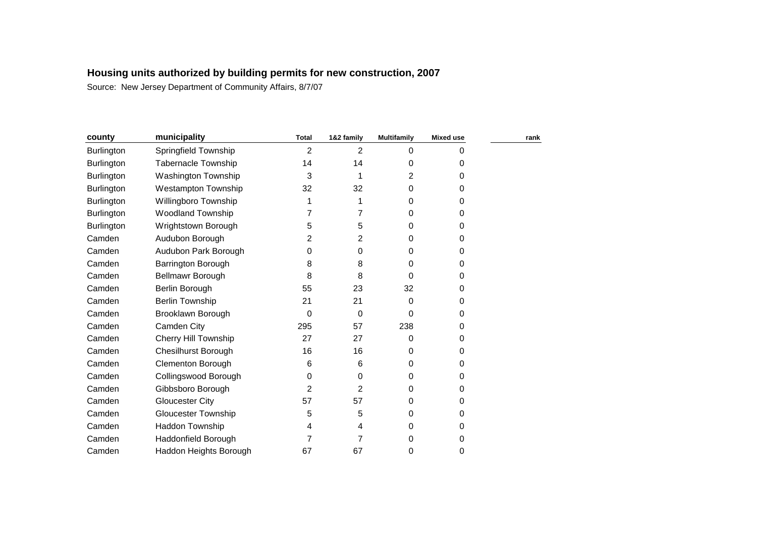| county            | municipality                | <b>Total</b>   | 1&2 family     | <b>Multifamily</b> | <b>Mixed use</b> | rank |
|-------------------|-----------------------------|----------------|----------------|--------------------|------------------|------|
| Burlington        | Springfield Township        | 2              | $\overline{2}$ | 0                  | 0                |      |
| Burlington        | <b>Tabernacle Township</b>  | 14             | 14             | 0                  | 0                |      |
| <b>Burlington</b> | <b>Washington Township</b>  | 3              | 1              | 2                  | $\Omega$         |      |
| Burlington        | <b>Westampton Township</b>  | 32             | 32             | 0                  | 0                |      |
| <b>Burlington</b> | Willingboro Township        |                | 1              | 0                  | 0                |      |
| Burlington        | Woodland Township           | 7              | 7              | 0                  | $\Omega$         |      |
| <b>Burlington</b> | Wrightstown Borough         | 5              | 5              | 0                  | 0                |      |
| Camden            | Audubon Borough             | 2              | $\overline{2}$ | 0                  | 0                |      |
| Camden            | Audubon Park Borough        | 0              | 0              | 0                  | 0                |      |
| Camden            | Barrington Borough          | 8              | 8              | 0                  | 0                |      |
| Camden            | Bellmawr Borough            | 8              | 8              | 0                  | 0                |      |
| Camden            | Berlin Borough              | 55             | 23             | 32                 | $\Omega$         |      |
| Camden            | <b>Berlin Township</b>      | 21             | 21             | 0                  | 0                |      |
| Camden            | Brooklawn Borough           | $\Omega$       | 0              | 0                  | 0                |      |
| Camden            | Camden City                 | 295            | 57             | 238                | 0                |      |
| Camden            | <b>Cherry Hill Township</b> | 27             | 27             | 0                  | 0                |      |
| Camden            | <b>Chesilhurst Borough</b>  | 16             | 16             | 0                  | $\Omega$         |      |
| Camden            | <b>Clementon Borough</b>    | 6              | 6              | 0                  | 0                |      |
| Camden            | Collingswood Borough        | 0              | 0              | 0                  | 0                |      |
| Camden            | Gibbsboro Borough           | $\overline{2}$ | $\overline{2}$ | 0                  | 0                |      |
| Camden            | <b>Gloucester City</b>      | 57             | 57             | 0                  | 0                |      |
| Camden            | <b>Gloucester Township</b>  | 5              | 5              | 0                  | 0                |      |
| Camden            | Haddon Township             | 4              | 4              | 0                  | 0                |      |
| Camden            | Haddonfield Borough         | 7              | 7              | 0                  | 0                |      |
| Camden            | Haddon Heights Borough      | 67             | 67             | 0                  | 0                |      |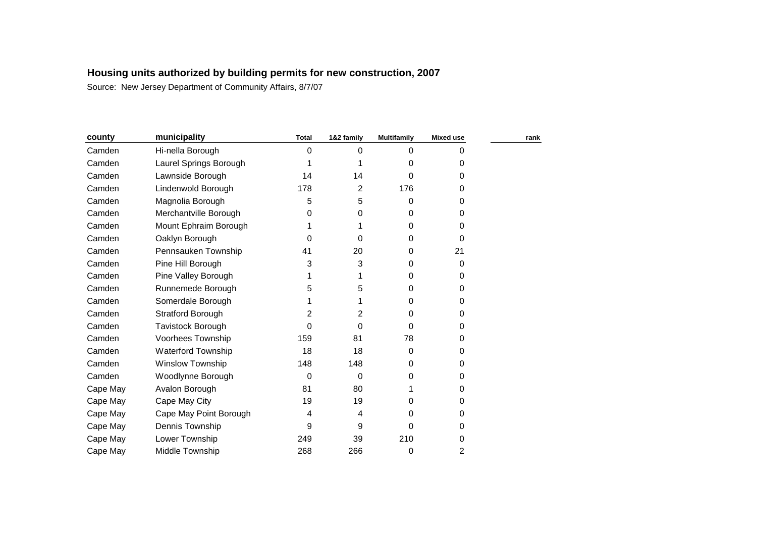| municipality            | <b>Total</b> | 1&2 family  | <b>Multifamily</b> | <b>Mixed use</b> | rank |
|-------------------------|--------------|-------------|--------------------|------------------|------|
| Hi-nella Borough        | 0            | 0           | 0                  | 0                |      |
| Laurel Springs Borough  |              |             | 0                  | 0                |      |
| Lawnside Borough        | 14           | 14          | 0                  | 0                |      |
| Lindenwold Borough      | 178          | 2           | 176                | 0                |      |
| Magnolia Borough        | 5            | 5           | 0                  | 0                |      |
| Merchantville Borough   | 0            | 0           | 0                  | 0                |      |
| Mount Ephraim Borough   |              |             | 0                  | 0                |      |
| Oaklyn Borough          | 0            | 0           | 0                  | 0                |      |
| Pennsauken Township     | 41           | 20          | 0                  | 21               |      |
| Pine Hill Borough       | 3            | 3           | 0                  | 0                |      |
| Pine Valley Borough     |              |             | 0                  | 0                |      |
| Runnemede Borough       | 5            | 5           | 0                  | 0                |      |
| Somerdale Borough       | 1            | 1           | 0                  | 0                |      |
| Stratford Borough       | 2            | 2           | 0                  | 0                |      |
| Tavistock Borough       | 0            | $\Omega$    | $\Omega$           | 0                |      |
| Voorhees Township       | 159          | 81          | 78                 | 0                |      |
| Waterford Township      | 18           | 18          | 0                  | 0                |      |
| <b>Winslow Township</b> | 148          | 148         | 0                  | 0                |      |
| Woodlynne Borough       | 0            | $\mathbf 0$ | 0                  | 0                |      |
| Avalon Borough          | 81           | 80          |                    | 0                |      |
| Cape May City           | 19           | 19          | 0                  | 0                |      |
| Cape May Point Borough  | 4            | 4           | 0                  | 0                |      |
| Dennis Township         | 9            | 9           | 0                  | 0                |      |
| Lower Township          | 249          | 39          | 210                | 0                |      |
| Middle Township         | 268          | 266         | 0                  | 2                |      |
|                         |              |             |                    |                  |      |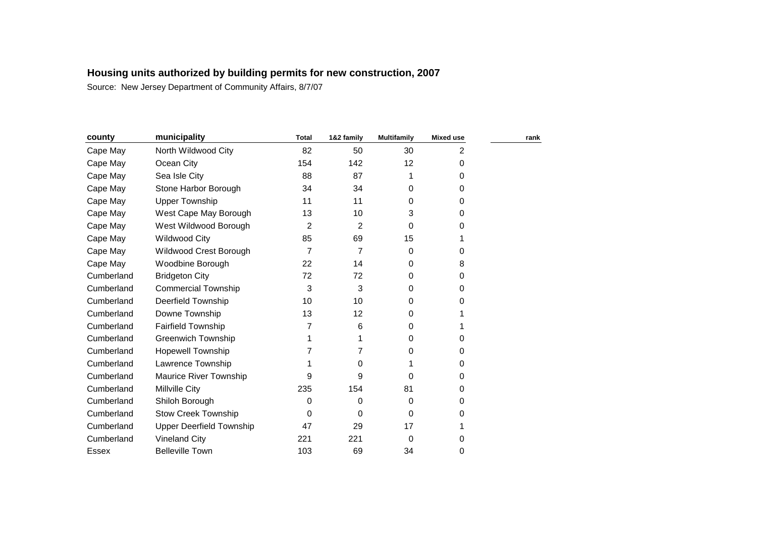| county     | municipality                    | <b>Total</b> | 1&2 family | <b>Multifamily</b> | <b>Mixed use</b> | rank |
|------------|---------------------------------|--------------|------------|--------------------|------------------|------|
| Cape May   | North Wildwood City             | 82           | 50         | 30                 | 2                |      |
| Cape May   | Ocean City                      | 154          | 142        | 12                 | 0                |      |
| Cape May   | Sea Isle City                   | 88           | 87         |                    | 0                |      |
| Cape May   | Stone Harbor Borough            | 34           | 34         | 0                  | 0                |      |
| Cape May   | <b>Upper Township</b>           | 11           | 11         | 0                  | 0                |      |
| Cape May   | West Cape May Borough           | 13           | 10         | 3                  | 0                |      |
| Cape May   | West Wildwood Borough           | 2            | 2          | 0                  | 0                |      |
| Cape May   | <b>Wildwood City</b>            | 85           | 69         | 15                 |                  |      |
| Cape May   | Wildwood Crest Borough          | 7            | 7          | 0                  | 0                |      |
| Cape May   | Woodbine Borough                | 22           | 14         | 0                  | 8                |      |
| Cumberland | <b>Bridgeton City</b>           | 72           | 72         | 0                  | 0                |      |
| Cumberland | <b>Commercial Township</b>      | 3            | 3          | 0                  | 0                |      |
| Cumberland | <b>Deerfield Township</b>       | 10           | 10         | 0                  | 0                |      |
| Cumberland | Downe Township                  | 13           | 12         | 0                  |                  |      |
| Cumberland | <b>Fairfield Township</b>       | 7            | 6          | 0                  |                  |      |
| Cumberland | <b>Greenwich Township</b>       |              |            | 0                  | 0                |      |
| Cumberland | <b>Hopewell Township</b>        | 7            | 7          | 0                  | 0                |      |
| Cumberland | Lawrence Township               |              | 0          |                    | 0                |      |
| Cumberland | Maurice River Township          | 9            | 9          | 0                  | 0                |      |
| Cumberland | Millville City                  | 235          | 154        | 81                 | 0                |      |
| Cumberland | Shiloh Borough                  | 0            | 0          | 0                  | 0                |      |
| Cumberland | <b>Stow Creek Township</b>      | 0            | $\Omega$   | 0                  | 0                |      |
| Cumberland | <b>Upper Deerfield Township</b> | 47           | 29         | 17                 |                  |      |
| Cumberland | <b>Vineland City</b>            | 221          | 221        | 0                  | 0                |      |
| Essex      | <b>Belleville Town</b>          | 103          | 69         | 34                 | 0                |      |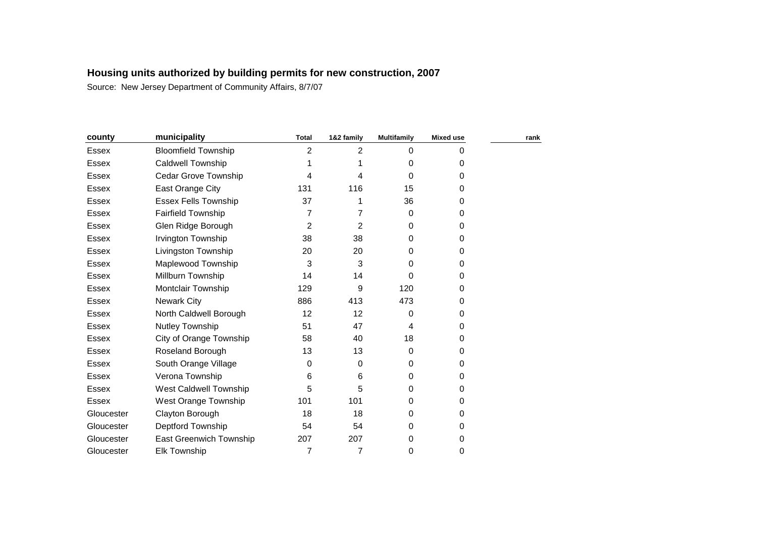| county       | municipality                | <b>Total</b>   | 1&2 family | <b>Multifamily</b> | <b>Mixed use</b> | rank |
|--------------|-----------------------------|----------------|------------|--------------------|------------------|------|
| <b>Essex</b> | <b>Bloomfield Township</b>  | $\overline{2}$ | 2          | $\Omega$           | $\Omega$         |      |
| <b>Essex</b> | Caldwell Township           |                |            | $\Omega$           | 0                |      |
| <b>Essex</b> | Cedar Grove Township        | 4              | 4          | $\Omega$           | 0                |      |
| <b>Essex</b> | East Orange City            | 131            | 116        | 15                 | 0                |      |
| Essex        | <b>Essex Fells Township</b> | 37             |            | 36                 | 0                |      |
| Essex        | Fairfield Township          | 7              | 7          | 0                  | 0                |      |
| Essex        | Glen Ridge Borough          | $\overline{2}$ | 2          | $\Omega$           | 0                |      |
| Essex        | Irvington Township          | 38             | 38         | 0                  | $\Omega$         |      |
| <b>Essex</b> | Livingston Township         | 20             | 20         | 0                  | 0                |      |
| <b>Essex</b> | Maplewood Township          | 3              | 3          | 0                  | 0                |      |
| <b>Essex</b> | Millburn Township           | 14             | 14         | 0                  | 0                |      |
| Essex        | Montclair Township          | 129            | 9          | 120                | 0                |      |
| <b>Essex</b> | <b>Newark City</b>          | 886            | 413        | 473                | 0                |      |
| <b>Essex</b> | North Caldwell Borough      | 12             | 12         | 0                  | 0                |      |
| <b>Essex</b> | Nutley Township             | 51             | 47         | 4                  | 0                |      |
| Essex        | City of Orange Township     | 58             | 40         | 18                 | 0                |      |
| Essex        | Roseland Borough            | 13             | 13         | 0                  | 0                |      |
| Essex        | South Orange Village        | 0              | 0          | 0                  | 0                |      |
| <b>Essex</b> | Verona Township             | 6              | 6          | 0                  | 0                |      |
| <b>Essex</b> | West Caldwell Township      | 5              | 5          | 0                  | 0                |      |
| <b>Essex</b> | West Orange Township        | 101            | 101        | 0                  | 0                |      |
| Gloucester   | Clayton Borough             | 18             | 18         | 0                  | 0                |      |
| Gloucester   | Deptford Township           | 54             | 54         | 0                  | 0                |      |
| Gloucester   | East Greenwich Township     | 207            | 207        | 0                  | 0                |      |
| Gloucester   | <b>Elk Township</b>         | 7              | 7          | 0                  | 0                |      |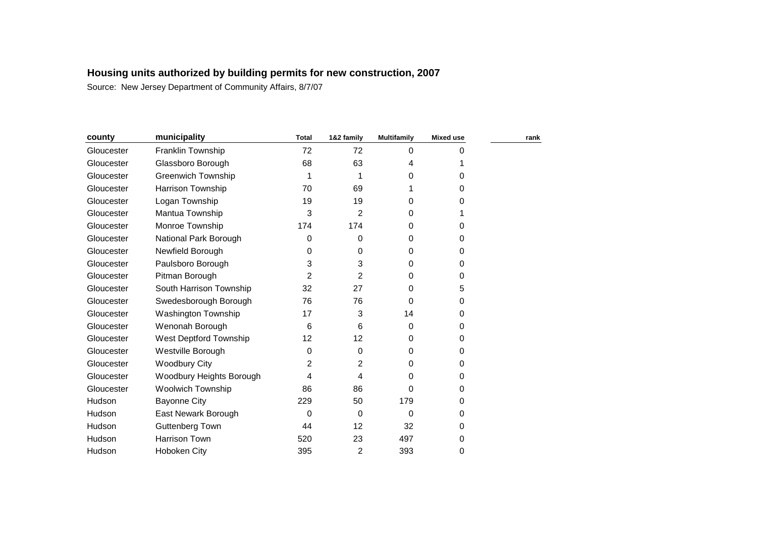| county     | municipality              | <b>Total</b> | 1&2 family        | <b>Multifamily</b> | <b>Mixed use</b> | rank |
|------------|---------------------------|--------------|-------------------|--------------------|------------------|------|
| Gloucester | Franklin Township         | 72           | 72                | 0                  | 0                |      |
| Gloucester | Glassboro Borough         | 68           | 63                | 4                  |                  |      |
| Gloucester | <b>Greenwich Township</b> |              |                   | 0                  | 0                |      |
| Gloucester | Harrison Township         | 70           | 69                | 1                  | 0                |      |
| Gloucester | Logan Township            | 19           | 19                | 0                  | 0                |      |
| Gloucester | Mantua Township           | 3            | $\overline{2}$    | 0                  |                  |      |
| Gloucester | Monroe Township           | 174          | 174               | 0                  | 0                |      |
| Gloucester | National Park Borough     | 0            | 0                 | 0                  | 0                |      |
| Gloucester | Newfield Borough          | 0            | 0                 | 0                  | $\Omega$         |      |
| Gloucester | Paulsboro Borough         | 3            | 3                 | 0                  | 0                |      |
| Gloucester | Pitman Borough            | 2            | $\overline{2}$    | 0                  | 0                |      |
| Gloucester | South Harrison Township   | 32           | 27                | 0                  | 5                |      |
| Gloucester | Swedesborough Borough     | 76           | 76                | 0                  | 0                |      |
| Gloucester | Washington Township       | 17           | 3                 | 14                 | 0                |      |
| Gloucester | Wenonah Borough           | 6            | 6                 | 0                  | 0                |      |
| Gloucester | West Deptford Township    | 12           | $12 \overline{ }$ | 0                  | 0                |      |
| Gloucester | Westville Borough         | 0            | 0                 | 0                  | 0                |      |
| Gloucester | <b>Woodbury City</b>      | 2            | 2                 | 0                  | 0                |      |
| Gloucester | Woodbury Heights Borough  | 4            | 4                 | 0                  | $\Omega$         |      |
| Gloucester | <b>Woolwich Township</b>  | 86           | 86                | 0                  | 0                |      |
| Hudson     | <b>Bayonne City</b>       | 229          | 50                | 179                | 0                |      |
| Hudson     | East Newark Borough       | 0            | $\mathbf 0$       | 0                  | 0                |      |
| Hudson     | Guttenberg Town           | 44           | 12                | 32                 | 0                |      |
| Hudson     | <b>Harrison Town</b>      | 520          | 23                | 497                | 0                |      |
| Hudson     | Hoboken City              | 395          | 2                 | 393                | 0                |      |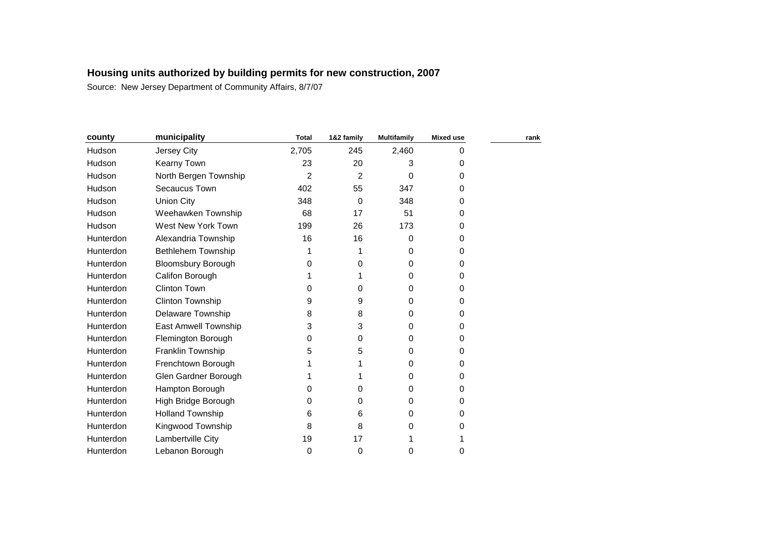| county        | municipality                | <b>Total</b>   | 1&2 family | <b>Multifamily</b> | <b>Mixed use</b> | rank |
|---------------|-----------------------------|----------------|------------|--------------------|------------------|------|
| <b>Hudson</b> | Jersey City                 | 2,705          | 245        | 2,460              | 0                |      |
| Hudson        | Kearny Town                 | 23             | 20         | 3                  | 0                |      |
| Hudson        | North Bergen Township       | $\overline{2}$ | 2          | $\Omega$           | 0                |      |
| Hudson        | Secaucus Town               | 402            | 55         | 347                | 0                |      |
| Hudson        | <b>Union City</b>           | 348            | 0          | 348                | 0                |      |
| <b>Hudson</b> | Weehawken Township          | 68             | 17         | 51                 | 0                |      |
| Hudson        | West New York Town          | 199            | 26         | 173                | 0                |      |
| Hunterdon     | Alexandria Township         | 16             | 16         | 0                  | 0                |      |
| Hunterdon     | <b>Bethlehem Township</b>   |                | 1          | 0                  | 0                |      |
| Hunterdon     | <b>Bloomsbury Borough</b>   | 0              | 0          | 0                  | 0                |      |
| Hunterdon     | Califon Borough             |                | 1          | 0                  | 0                |      |
| Hunterdon     | Clinton Town                | 0              | 0          | 0                  | 0                |      |
| Hunterdon     | Clinton Township            | 9              | 9          | $\Omega$           | 0                |      |
| Hunterdon     | <b>Delaware Township</b>    | 8              | 8          | 0                  | 0                |      |
| Hunterdon     | <b>East Amwell Township</b> | 3              | 3          | $\Omega$           | 0                |      |
| Hunterdon     | Flemington Borough          | 0              | 0          | 0                  | 0                |      |
| Hunterdon     | Franklin Township           | 5              | 5          | 0                  | 0                |      |
| Hunterdon     | Frenchtown Borough          |                |            | $\Omega$           | 0                |      |
| Hunterdon     | Glen Gardner Borough        |                | 1          | 0                  | 0                |      |
| Hunterdon     | Hampton Borough             | 0              | 0          | 0                  | 0                |      |
| Hunterdon     | High Bridge Borough         | 0              | 0          | 0                  | 0                |      |
| Hunterdon     | <b>Holland Township</b>     | 6              | 6          | 0                  | 0                |      |
| Hunterdon     | Kingwood Township           | 8              | 8          | 0                  | 0                |      |
| Hunterdon     | Lambertville City           | 19             | 17         |                    |                  |      |
| Hunterdon     | Lebanon Borough             | 0              | 0          | 0                  | 0                |      |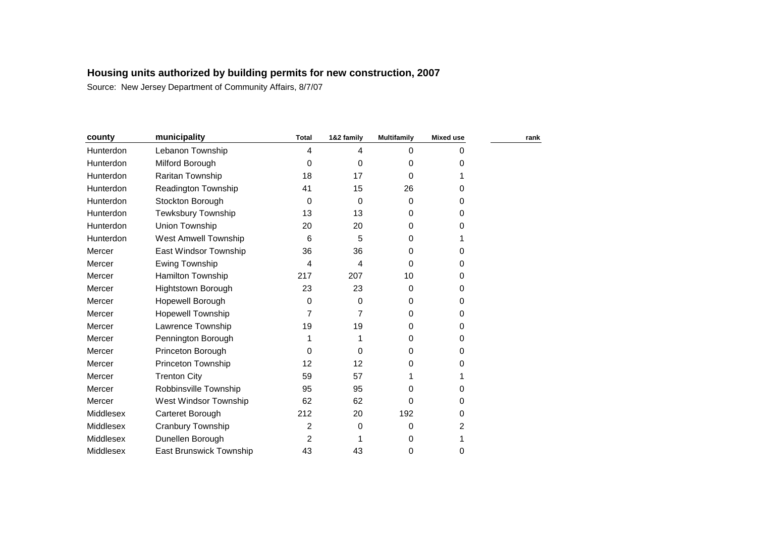| county    | municipality               | <b>Total</b> | 1&2 family  | <b>Multifamily</b> | <b>Mixed use</b> | rank |
|-----------|----------------------------|--------------|-------------|--------------------|------------------|------|
| Hunterdon | Lebanon Township           | 4            | 4           | 0                  | 0                |      |
| Hunterdon | Milford Borough            | 0            | 0           | 0                  | 0                |      |
| Hunterdon | Raritan Township           | 18           | 17          | 0                  |                  |      |
| Hunterdon | <b>Readington Township</b> | 41           | 15          | 26                 | 0                |      |
| Hunterdon | Stockton Borough           | 0            | 0           | 0                  | 0                |      |
| Hunterdon | Tewksbury Township         | 13           | 13          | 0                  | 0                |      |
| Hunterdon | Union Township             | 20           | 20          | 0                  | 0                |      |
| Hunterdon | West Amwell Township       | 6            | 5           | 0                  |                  |      |
| Mercer    | East Windsor Township      | 36           | 36          | 0                  | 0                |      |
| Mercer    | Ewing Township             | 4            | 4           | 0                  | 0                |      |
| Mercer    | Hamilton Township          | 217          | 207         | 10                 | 0                |      |
| Mercer    | Hightstown Borough         | 23           | 23          | 0                  | 0                |      |
| Mercer    | Hopewell Borough           | 0            | 0           | 0                  | 0                |      |
| Mercer    | <b>Hopewell Township</b>   | 7            | 7           | 0                  | 0                |      |
| Mercer    | Lawrence Township          | 19           | 19          | 0                  | 0                |      |
| Mercer    | Pennington Borough         |              |             | 0                  | 0                |      |
| Mercer    | Princeton Borough          | 0            | $\mathbf 0$ | 0                  | 0                |      |
| Mercer    | Princeton Township         | 12           | 12          | 0                  | 0                |      |
| Mercer    | <b>Trenton City</b>        | 59           | 57          |                    |                  |      |
| Mercer    | Robbinsville Township      | 95           | 95          | 0                  | 0                |      |
| Mercer    | West Windsor Township      | 62           | 62          | 0                  | 0                |      |
| Middlesex | Carteret Borough           | 212          | 20          | 192                | 0                |      |
| Middlesex | Cranbury Township          | 2            | 0           | 0                  | 2                |      |
| Middlesex | Dunellen Borough           | 2            |             | 0                  |                  |      |
| Middlesex | East Brunswick Township    | 43           | 43          | 0                  | 0                |      |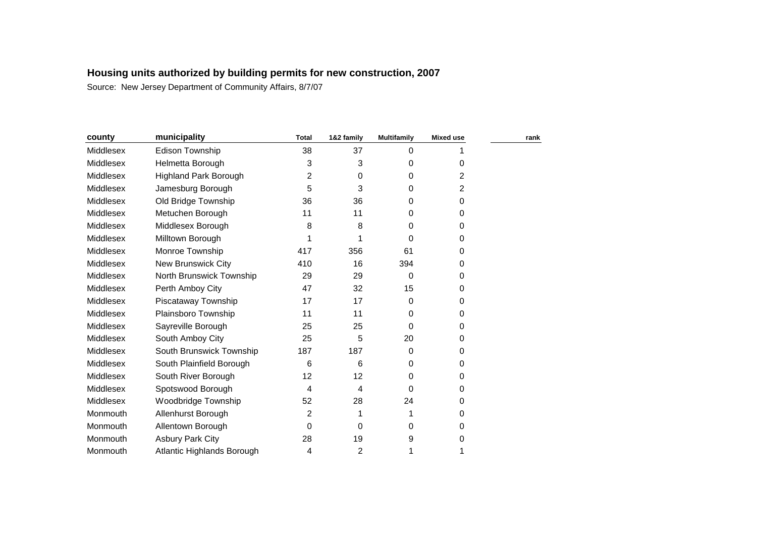| county    | municipality                 | <b>Total</b>            | 1&2 family | <b>Multifamily</b> | <b>Mixed use</b> | rank |
|-----------|------------------------------|-------------------------|------------|--------------------|------------------|------|
| Middlesex | Edison Township              | 38                      | 37         | $\mathbf 0$        |                  |      |
| Middlesex | Helmetta Borough             | 3                       | 3          | 0                  | 0                |      |
| Middlesex | <b>Highland Park Borough</b> | 2                       | 0          | 0                  | 2                |      |
| Middlesex | Jamesburg Borough            | 5                       | 3          | 0                  | 2                |      |
| Middlesex | Old Bridge Township          | 36                      | 36         | 0                  | 0                |      |
| Middlesex | Metuchen Borough             | 11                      | 11         | 0                  | 0                |      |
| Middlesex | Middlesex Borough            | 8                       | 8          | 0                  | 0                |      |
| Middlesex | Milltown Borough             |                         |            | 0                  | 0                |      |
| Middlesex | Monroe Township              | 417                     | 356        | 61                 | 0                |      |
| Middlesex | <b>New Brunswick City</b>    | 410                     | 16         | 394                | 0                |      |
| Middlesex | North Brunswick Township     | 29                      | 29         | 0                  | 0                |      |
| Middlesex | Perth Amboy City             | 47                      | 32         | 15                 | 0                |      |
| Middlesex | Piscataway Township          | 17                      | 17         | 0                  | 0                |      |
| Middlesex | Plainsboro Township          | 11                      | 11         | 0                  | 0                |      |
| Middlesex | Sayreville Borough           | 25                      | 25         | 0                  | 0                |      |
| Middlesex | South Amboy City             | 25                      | 5          | 20                 | 0                |      |
| Middlesex | South Brunswick Township     | 187                     | 187        | 0                  | 0                |      |
| Middlesex | South Plainfield Borough     | 6                       | 6          | 0                  | 0                |      |
| Middlesex | South River Borough          | 12                      | 12         | 0                  | 0                |      |
| Middlesex | Spotswood Borough            | $\overline{\mathbf{4}}$ | 4          | $\Omega$           | 0                |      |
| Middlesex | Woodbridge Township          | 52                      | 28         | 24                 | 0                |      |
| Monmouth  | Allenhurst Borough           | 2                       | 1          |                    | 0                |      |
| Monmouth  | Allentown Borough            | 0                       | 0          | 0                  | 0                |      |
| Monmouth  | <b>Asbury Park City</b>      | 28                      | 19         | 9                  | 0                |      |
| Monmouth  | Atlantic Highlands Borough   | 4                       | 2          |                    | 1                |      |
|           |                              |                         |            |                    |                  |      |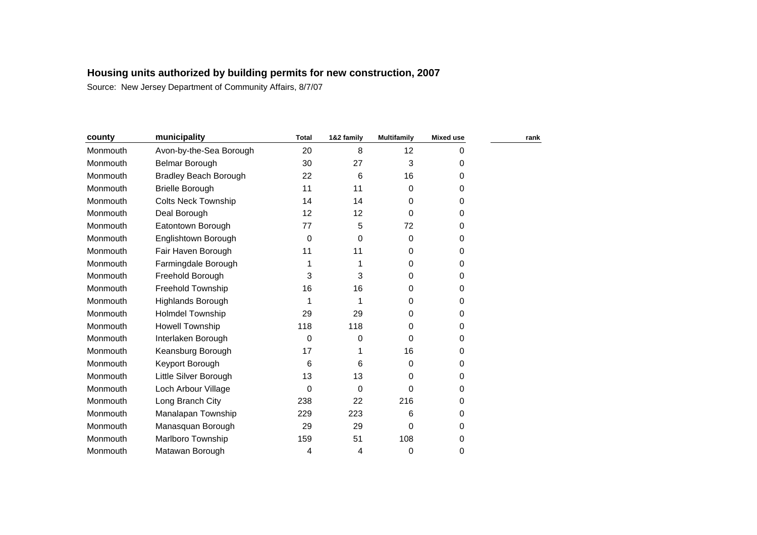| county   | municipality                 | <b>Total</b> | 1&2 family | <b>Multifamily</b> | <b>Mixed use</b> | rank |
|----------|------------------------------|--------------|------------|--------------------|------------------|------|
| Monmouth | Avon-by-the-Sea Borough      | 20           | 8          | 12                 | 0                |      |
| Monmouth | <b>Belmar Borough</b>        | 30           | 27         | 3                  | 0                |      |
| Monmouth | <b>Bradley Beach Borough</b> | 22           | 6          | 16                 | 0                |      |
| Monmouth | <b>Brielle Borough</b>       | 11           | 11         | 0                  | 0                |      |
| Monmouth | <b>Colts Neck Township</b>   | 14           | 14         | 0                  | 0                |      |
| Monmouth | Deal Borough                 | 12           | 12         | 0                  | $\Omega$         |      |
| Monmouth | Eatontown Borough            | 77           | 5          | 72                 | 0                |      |
| Monmouth | Englishtown Borough          | 0            | 0          | 0                  | 0                |      |
| Monmouth | Fair Haven Borough           | 11           | 11         | 0                  | 0                |      |
| Monmouth | Farmingdale Borough          |              |            | 0                  | 0                |      |
| Monmouth | Freehold Borough             | 3            | 3          | 0                  | $\Omega$         |      |
| Monmouth | Freehold Township            | 16           | 16         | 0                  | 0                |      |
| Monmouth | <b>Highlands Borough</b>     |              |            | 0                  | 0                |      |
| Monmouth | <b>Holmdel Township</b>      | 29           | 29         | 0                  | 0                |      |
| Monmouth | <b>Howell Township</b>       | 118          | 118        | 0                  | 0                |      |
| Monmouth | Interlaken Borough           | 0            | 0          | 0                  | $\Omega$         |      |
| Monmouth | Keansburg Borough            | 17           |            | 16                 | 0                |      |
| Monmouth | Keyport Borough              | 6            | 6          | 0                  | 0                |      |
| Monmouth | Little Silver Borough        | 13           | 13         | 0                  | 0                |      |
| Monmouth | Loch Arbour Village          | 0            | 0          | 0                  | 0                |      |
| Monmouth | Long Branch City             | 238          | 22         | 216                | 0                |      |
| Monmouth | Manalapan Township           | 229          | 223        | 6                  | 0                |      |
| Monmouth | Manasquan Borough            | 29           | 29         | 0                  | 0                |      |
| Monmouth | <b>Marlboro Township</b>     | 159          | 51         | 108                | 0                |      |
| Monmouth | Matawan Borough              | 4            | 4          | 0                  | 0                |      |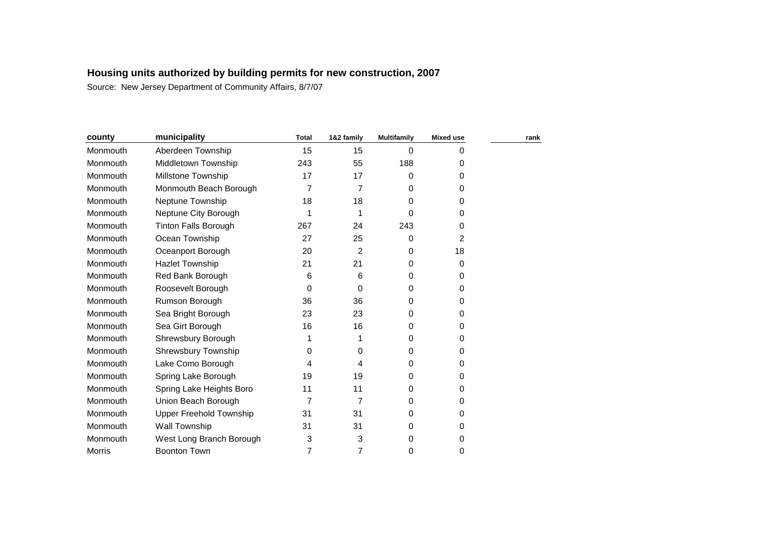| county        | municipality                   | <b>Total</b> | 1&2 family     | <b>Multifamily</b> | <b>Mixed use</b> | rank |
|---------------|--------------------------------|--------------|----------------|--------------------|------------------|------|
| Monmouth      | Aberdeen Township              | 15           | 15             | 0                  | $\Omega$         |      |
| Monmouth      | Middletown Township            | 243          | 55             | 188                | 0                |      |
| Monmouth      | <b>Millstone Township</b>      | 17           | 17             | 0                  | 0                |      |
| Monmouth      | Monmouth Beach Borough         | 7            | 7              | 0                  | $\Omega$         |      |
| Monmouth      | Neptune Township               | 18           | 18             | 0                  | $\Omega$         |      |
| Monmouth      | Neptune City Borough           | 1            | 1              | 0                  | $\Omega$         |      |
| Monmouth      | <b>Tinton Falls Borough</b>    | 267          | 24             | 243                | 0                |      |
| Monmouth      | Ocean Township                 | 27           | 25             | 0                  | 2                |      |
| Monmouth      | Oceanport Borough              | 20           | $\overline{2}$ | 0                  | 18               |      |
| Monmouth      | <b>Hazlet Township</b>         | 21           | 21             | 0                  | 0                |      |
| Monmouth      | Red Bank Borough               | 6            | 6              | 0                  | $\Omega$         |      |
| Monmouth      | Roosevelt Borough              | 0            | 0              | $\Omega$           | 0                |      |
| Monmouth      | Rumson Borough                 | 36           | 36             | 0                  | 0                |      |
| Monmouth      | Sea Bright Borough             | 23           | 23             | 0                  | 0                |      |
| Monmouth      | Sea Girt Borough               | 16           | 16             | 0                  | 0                |      |
| Monmouth      | Shrewsbury Borough             | 1            | 1              | 0                  | $\Omega$         |      |
| Monmouth      | <b>Shrewsbury Township</b>     | 0            | 0              | 0                  | 0                |      |
| Monmouth      | Lake Como Borough              | 4            | 4              | 0                  | 0                |      |
| Monmouth      | Spring Lake Borough            | 19           | 19             | 0                  | 0                |      |
| Monmouth      | Spring Lake Heights Boro       | 11           | 11             | 0                  | 0                |      |
| Monmouth      | Union Beach Borough            | 7            | 7              | 0                  | 0                |      |
| Monmouth      | <b>Upper Freehold Township</b> | 31           | 31             | $\Omega$           | 0                |      |
| Monmouth      | Wall Township                  | 31           | 31             | 0                  | 0                |      |
| Monmouth      | West Long Branch Borough       | 3            | 3              | 0                  | 0                |      |
| <b>Morris</b> | <b>Boonton Town</b>            | 7            | 7              | 0                  | 0                |      |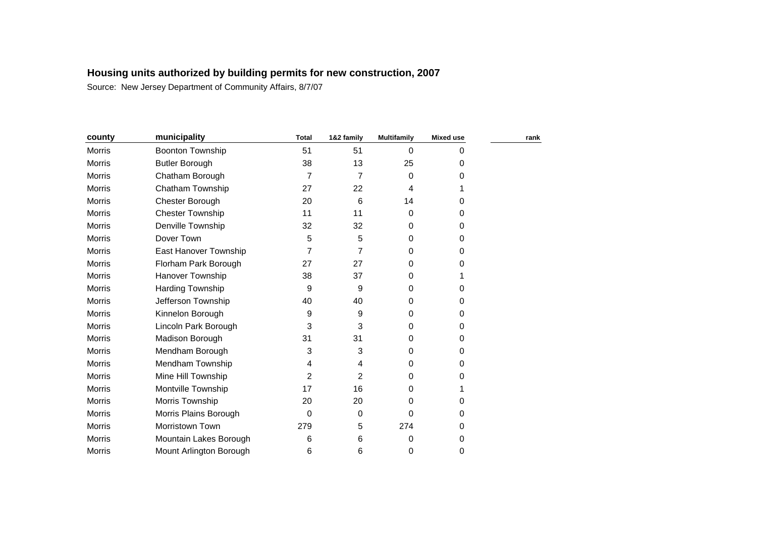| county        | municipality            | <b>Total</b> | 1&2 family | <b>Multifamily</b> | <b>Mixed use</b> | rank |
|---------------|-------------------------|--------------|------------|--------------------|------------------|------|
| <b>Morris</b> | Boonton Township        | 51           | 51         | $\Omega$           | 0                |      |
| <b>Morris</b> | <b>Butler Borough</b>   | 38           | 13         | 25                 | 0                |      |
| Morris        | Chatham Borough         | 7            | 7          | 0                  | 0                |      |
| <b>Morris</b> | Chatham Township        | 27           | 22         | 4                  |                  |      |
| Morris        | Chester Borough         | 20           | 6          | 14                 | 0                |      |
| Morris        | <b>Chester Township</b> | 11           | 11         | 0                  | 0                |      |
| <b>Morris</b> | Denville Township       | 32           | 32         | 0                  | 0                |      |
| <b>Morris</b> | Dover Town              | 5            | 5          | 0                  | 0                |      |
| Morris        | East Hanover Township   | 7            | 7          | 0                  | 0                |      |
| Morris        | Florham Park Borough    | 27           | 27         | 0                  | 0                |      |
| <b>Morris</b> | Hanover Township        | 38           | 37         | 0                  |                  |      |
| <b>Morris</b> | Harding Township        | 9            | 9          | 0                  | 0                |      |
| Morris        | Jefferson Township      | 40           | 40         | 0                  | 0                |      |
| Morris        | Kinnelon Borough        | 9            | 9          | 0                  | 0                |      |
| Morris        | Lincoln Park Borough    | 3            | 3          | 0                  | 0                |      |
| <b>Morris</b> | Madison Borough         | 31           | 31         | 0                  | 0                |      |
| Morris        | Mendham Borough         | 3            | 3          | 0                  | 0                |      |
| <b>Morris</b> | Mendham Township        | 4            | 4          | 0                  | 0                |      |
| <b>Morris</b> | Mine Hill Township      | 2            | 2          | 0                  | 0                |      |
| <b>Morris</b> | Montville Township      | 17           | 16         | 0                  |                  |      |
| <b>Morris</b> | Morris Township         | 20           | 20         | 0                  | 0                |      |
| Morris        | Morris Plains Borough   | 0            | 0          | 0                  | 0                |      |
| Morris        | Morristown Town         | 279          | 5          | 274                | 0                |      |
| <b>Morris</b> | Mountain Lakes Borough  | 6            | 6          | 0                  | 0                |      |
| <b>Morris</b> | Mount Arlington Borough | 6            | 6          | 0                  | 0                |      |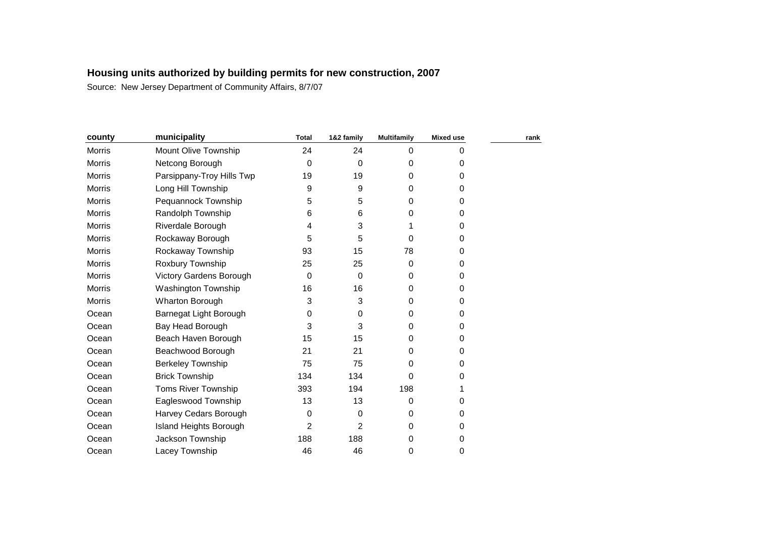| county        | municipality              | <b>Total</b> | 1&2 family  | <b>Multifamily</b> | <b>Mixed use</b> | rank |
|---------------|---------------------------|--------------|-------------|--------------------|------------------|------|
| Morris        | Mount Olive Township      | 24           | 24          | 0                  | 0                |      |
| Morris        | Netcong Borough           | 0            | 0           | 0                  | 0                |      |
| Morris        | Parsippany-Troy Hills Twp | 19           | 19          | 0                  | 0                |      |
| Morris        | Long Hill Township        | 9            | 9           | 0                  | 0                |      |
| Morris        | Pequannock Township       | 5            | 5           | 0                  | 0                |      |
| Morris        | Randolph Township         | 6            | 6           | 0                  | 0                |      |
| Morris        | Riverdale Borough         | 4            | 3           |                    | 0                |      |
| Morris        | Rockaway Borough          | 5            | 5           | 0                  | 0                |      |
| Morris        | Rockaway Township         | 93           | 15          | 78                 | 0                |      |
| <b>Morris</b> | Roxbury Township          | 25           | 25          | 0                  | 0                |      |
| Morris        | Victory Gardens Borough   | 0            | $\mathbf 0$ | 0                  | 0                |      |
| <b>Morris</b> | Washington Township       | 16           | 16          | 0                  | 0                |      |
| <b>Morris</b> | Wharton Borough           | 3            | 3           | 0                  | 0                |      |
| Ocean         | Barnegat Light Borough    | 0            | 0           | 0                  | 0                |      |
| Ocean         | Bay Head Borough          | 3            | 3           | 0                  | 0                |      |
| Ocean         | Beach Haven Borough       | 15           | 15          | 0                  | 0                |      |
| Ocean         | Beachwood Borough         | 21           | 21          | 0                  | 0                |      |
| Ocean         | <b>Berkeley Township</b>  | 75           | 75          | 0                  | 0                |      |
| Ocean         | <b>Brick Township</b>     | 134          | 134         | 0                  | 0                |      |
| Ocean         | Toms River Township       | 393          | 194         | 198                |                  |      |
| Ocean         | Eagleswood Township       | 13           | 13          | 0                  | 0                |      |
| Ocean         | Harvey Cedars Borough     | 0            | 0           | 0                  | 0                |      |
| Ocean         | Island Heights Borough    | 2            | 2           | 0                  | 0                |      |
| Ocean         | Jackson Township          | 188          | 188         | 0                  | 0                |      |
| Ocean         | Lacey Township            | 46           | 46          | 0                  | 0                |      |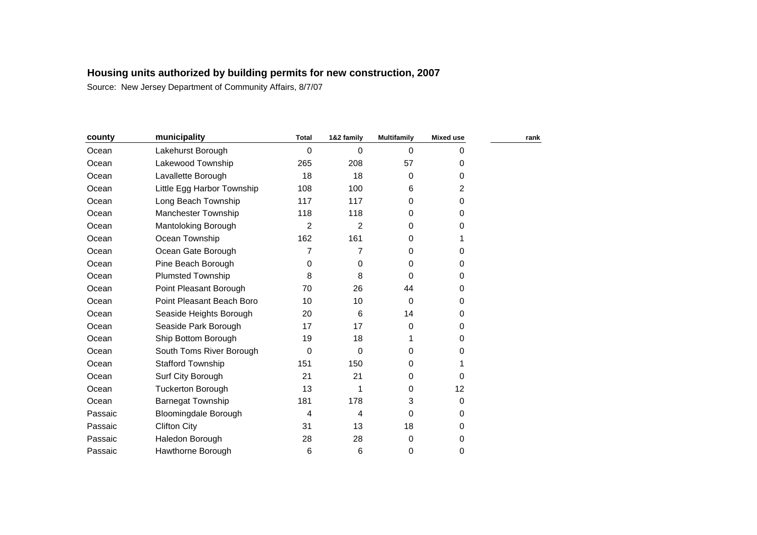| county  | municipality                | <b>Total</b> | 1&2 family     | <b>Multifamily</b> | <b>Mixed use</b> | rank |
|---------|-----------------------------|--------------|----------------|--------------------|------------------|------|
| Ocean   | Lakehurst Borough           | 0            | 0              | $\Omega$           | 0                |      |
| Ocean   | Lakewood Township           | 265          | 208            | 57                 | $\mathbf 0$      |      |
| Ocean   | Lavallette Borough          | 18           | 18             | 0                  | $\mathbf 0$      |      |
| Ocean   | Little Egg Harbor Township  | 108          | 100            | 6                  | 2                |      |
| Ocean   | Long Beach Township         | 117          | 117            | 0                  | 0                |      |
| Ocean   | <b>Manchester Township</b>  | 118          | 118            | 0                  | 0                |      |
| Ocean   | Mantoloking Borough         | 2            | $\overline{2}$ | 0                  | 0                |      |
| Ocean   | Ocean Township              | 162          | 161            | 0                  |                  |      |
| Ocean   | Ocean Gate Borough          | 7            | 7              | 0                  | $\Omega$         |      |
| Ocean   | Pine Beach Borough          | 0            | 0              | 0                  | $\Omega$         |      |
| Ocean   | <b>Plumsted Township</b>    | 8            | 8              | 0                  | 0                |      |
| Ocean   | Point Pleasant Borough      | 70           | 26             | 44                 | 0                |      |
| Ocean   | Point Pleasant Beach Boro   | 10           | 10             | $\Omega$           | 0                |      |
| Ocean   | Seaside Heights Borough     | 20           | 6              | 14                 | 0                |      |
| Ocean   | Seaside Park Borough        | 17           | 17             | 0                  | 0                |      |
| Ocean   | Ship Bottom Borough         | 19           | 18             |                    | 0                |      |
| Ocean   | South Toms River Borough    | 0            | 0              | 0                  | 0                |      |
| Ocean   | <b>Stafford Township</b>    | 151          | 150            | 0                  |                  |      |
| Ocean   | Surf City Borough           | 21           | 21             | 0                  | $\Omega$         |      |
| Ocean   | <b>Tuckerton Borough</b>    | 13           | 1              | 0                  | 12               |      |
| Ocean   | <b>Barnegat Township</b>    | 181          | 178            | 3                  | $\mathbf 0$      |      |
| Passaic | <b>Bloomingdale Borough</b> | 4            | 4              | 0                  | 0                |      |
| Passaic | <b>Clifton City</b>         | 31           | 13             | 18                 | 0                |      |
| Passaic | Haledon Borough             | 28           | 28             | 0                  | 0                |      |
| Passaic | Hawthorne Borough           | 6            | 6              | 0                  | 0                |      |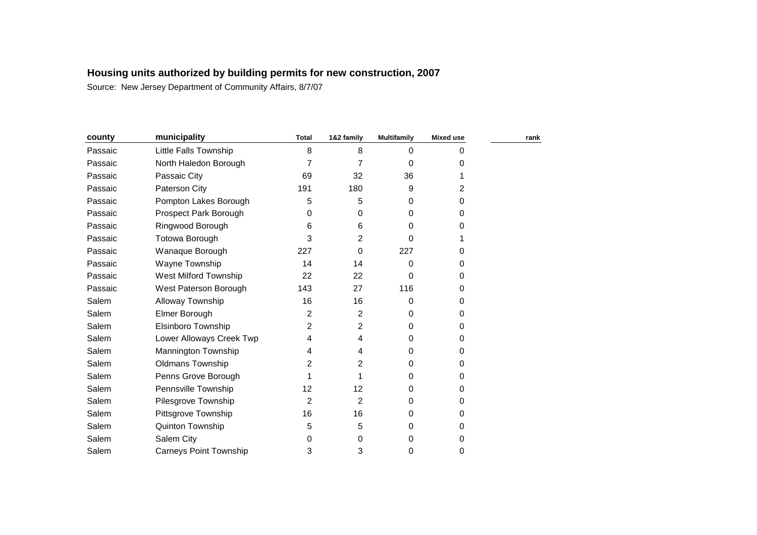| county  | municipality                  | <b>Total</b> | 1&2 family     | <b>Multifamily</b> | <b>Mixed use</b> | rank |
|---------|-------------------------------|--------------|----------------|--------------------|------------------|------|
| Passaic | Little Falls Township         | 8            | 8              | 0                  | 0                |      |
| Passaic | North Haledon Borough         | 7            | 7              | 0                  | 0                |      |
| Passaic | Passaic City                  | 69           | 32             | 36                 |                  |      |
| Passaic | Paterson City                 | 191          | 180            | 9                  | 2                |      |
| Passaic | Pompton Lakes Borough         | 5            | 5              | 0                  | 0                |      |
| Passaic | Prospect Park Borough         | 0            | 0              | 0                  | 0                |      |
| Passaic | Ringwood Borough              | 6            | 6              | 0                  | 0                |      |
| Passaic | <b>Totowa Borough</b>         | 3            | 2              | 0                  |                  |      |
| Passaic | Wanaque Borough               | 227          | 0              | 227                | 0                |      |
| Passaic | Wayne Township                | 14           | 14             | 0                  | 0                |      |
| Passaic | West Milford Township         | 22           | 22             | 0                  | 0                |      |
| Passaic | West Paterson Borough         | 143          | 27             | 116                | 0                |      |
| Salem   | Alloway Township              | 16           | 16             | 0                  | 0                |      |
| Salem   | Elmer Borough                 | 2            | 2              | 0                  | 0                |      |
| Salem   | Elsinboro Township            | 2            | $\overline{2}$ | 0                  | 0                |      |
| Salem   | Lower Alloways Creek Twp      | 4            | 4              | 0                  | 0                |      |
| Salem   | Mannington Township           | 4            | 4              | 0                  | 0                |      |
| Salem   | Oldmans Township              | 2            | 2              | 0                  | 0                |      |
| Salem   | Penns Grove Borough           |              |                | 0                  | 0                |      |
| Salem   | Pennsville Township           | 12           | 12             | 0                  | 0                |      |
| Salem   | Pilesgrove Township           | 2            | 2              | 0                  | 0                |      |
| Salem   | Pittsgrove Township           | 16           | 16             | 0                  | 0                |      |
| Salem   | Quinton Township              | 5            | 5              | 0                  | 0                |      |
| Salem   | Salem City                    | 0            | 0              | 0                  | 0                |      |
| Salem   | <b>Carneys Point Township</b> | 3            | 3              | 0                  | 0                |      |
|         |                               |              |                |                    |                  |      |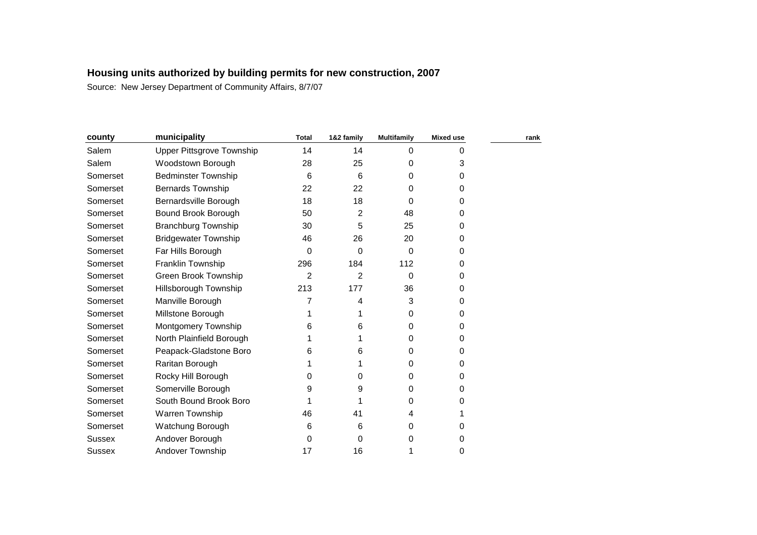| county        | municipality                     | <b>Total</b> | 1&2 family     | <b>Multifamily</b> | <b>Mixed use</b> | rank |
|---------------|----------------------------------|--------------|----------------|--------------------|------------------|------|
| Salem         | <b>Upper Pittsgrove Township</b> | 14           | 14             | 0                  | 0                |      |
| Salem         | Woodstown Borough                | 28           | 25             | 0                  | 3                |      |
| Somerset      | <b>Bedminster Township</b>       | 6            | 6              | 0                  | 0                |      |
| Somerset      | <b>Bernards Township</b>         | 22           | 22             | 0                  | 0                |      |
| Somerset      | Bernardsville Borough            | 18           | 18             | 0                  | 0                |      |
| Somerset      | Bound Brook Borough              | 50           | 2              | 48                 | 0                |      |
| Somerset      | <b>Branchburg Township</b>       | 30           | 5              | 25                 | 0                |      |
| Somerset      | <b>Bridgewater Township</b>      | 46           | 26             | 20                 | 0                |      |
| Somerset      | Far Hills Borough                | 0            | 0              | $\Omega$           | 0                |      |
| Somerset      | Franklin Township                | 296          | 184            | 112                | 0                |      |
| Somerset      | Green Brook Township             | 2            | $\overline{2}$ | 0                  | 0                |      |
| Somerset      | Hillsborough Township            | 213          | 177            | 36                 | 0                |      |
| Somerset      | Manville Borough                 |              | 4              | 3                  | 0                |      |
| Somerset      | Millstone Borough                |              | 1              | 0                  | 0                |      |
| Somerset      | Montgomery Township              | 6            | 6              | 0                  | 0                |      |
| Somerset      | North Plainfield Borough         |              | 1              | 0                  | 0                |      |
| Somerset      | Peapack-Gladstone Boro           | 6            | 6              | 0                  | 0                |      |
| Somerset      | Raritan Borough                  |              |                | 0                  | 0                |      |
| Somerset      | Rocky Hill Borough               | 0            | 0              | 0                  | 0                |      |
| Somerset      | Somerville Borough               | 9            | 9              | 0                  | 0                |      |
| Somerset      | South Bound Brook Boro           |              |                | 0                  | 0                |      |
| Somerset      | Warren Township                  | 46           | 41             | 4                  |                  |      |
| Somerset      | Watchung Borough                 | 6            | 6              | 0                  | 0                |      |
| <b>Sussex</b> | Andover Borough                  | 0            | 0              | 0                  | 0                |      |
| Sussex        | Andover Township                 | 17           | 16             | 1                  | 0                |      |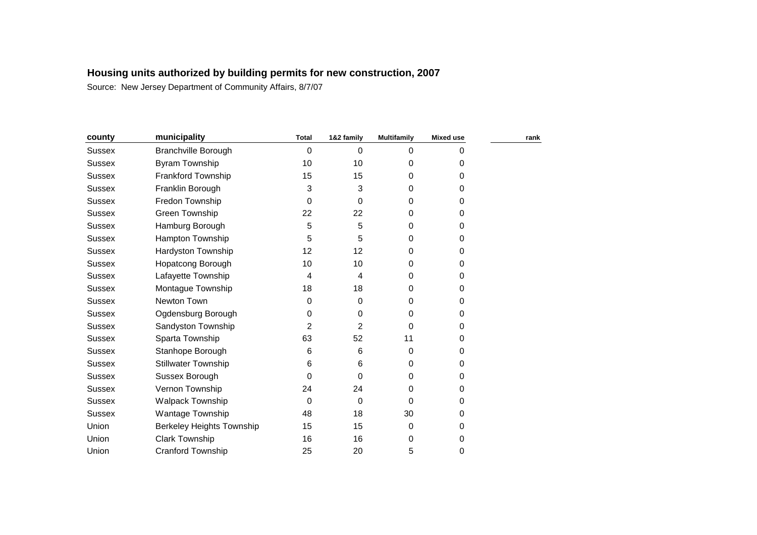| county        | municipality               | <b>Total</b> | 1&2 family | <b>Multifamily</b> | <b>Mixed use</b> | rank |
|---------------|----------------------------|--------------|------------|--------------------|------------------|------|
| <b>Sussex</b> | Branchville Borough        | 0            | 0          | $\mathbf 0$        | 0                |      |
| <b>Sussex</b> | Byram Township             | 10           | 10         | 0                  | 0                |      |
| <b>Sussex</b> | <b>Frankford Township</b>  | 15           | 15         | 0                  | 0                |      |
| <b>Sussex</b> | Franklin Borough           | 3            | 3          | 0                  | 0                |      |
| <b>Sussex</b> | Fredon Township            | 0            | 0          | 0                  | 0                |      |
| <b>Sussex</b> | Green Township             | 22           | 22         | 0                  | 0                |      |
| Sussex        | Hamburg Borough            | 5            | 5          | 0                  | 0                |      |
| <b>Sussex</b> | Hampton Township           | 5            | 5          | 0                  | 0                |      |
| <b>Sussex</b> | Hardyston Township         | 12           | 12         | $\Omega$           | 0                |      |
| Sussex        | Hopatcong Borough          | 10           | 10         | 0                  | 0                |      |
| <b>Sussex</b> | Lafayette Township         | 4            | 4          | 0                  | 0                |      |
| Sussex        | Montague Township          | 18           | 18         | 0                  | 0                |      |
| <b>Sussex</b> | Newton Town                | 0            | 0          | 0                  | 0                |      |
| <b>Sussex</b> | Ogdensburg Borough         | 0            | 0          | 0                  | 0                |      |
| <b>Sussex</b> | Sandyston Township         | 2            | 2          | $\Omega$           | 0                |      |
| <b>Sussex</b> | Sparta Township            | 63           | 52         | 11                 | 0                |      |
| <b>Sussex</b> | Stanhope Borough           | 6            | 6          | $\Omega$           | 0                |      |
| <b>Sussex</b> | <b>Stillwater Township</b> | 6            | 6          | 0                  | 0                |      |
| <b>Sussex</b> | Sussex Borough             | 0            | 0          | 0                  | 0                |      |
| <b>Sussex</b> | Vernon Township            | 24           | 24         | $\Omega$           | 0                |      |
| <b>Sussex</b> | Walpack Township           | 0            | 0          | 0                  | 0                |      |
| <b>Sussex</b> | Wantage Township           | 48           | 18         | 30                 | 0                |      |
| Union         | Berkeley Heights Township  | 15           | 15         | 0                  | 0                |      |
| Union         | <b>Clark Township</b>      | 16           | 16         | 0                  | 0                |      |
| Union         | <b>Cranford Township</b>   | 25           | 20         | 5                  | 0                |      |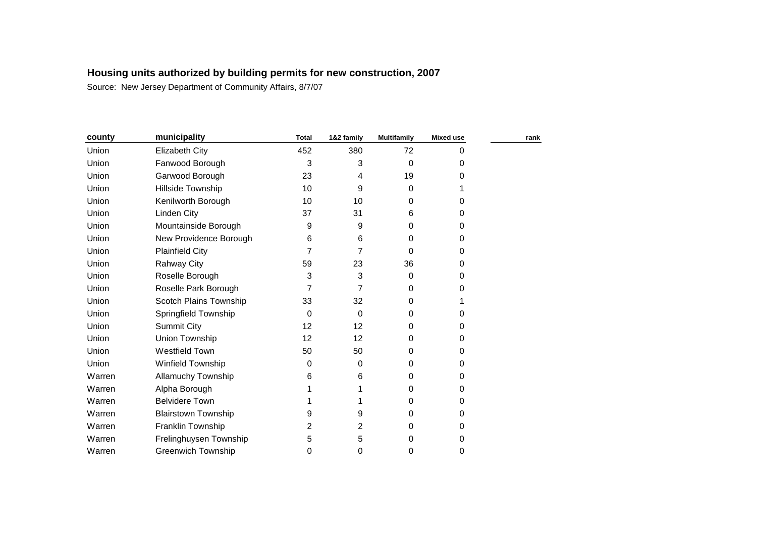| county | municipality               | <b>Total</b> | 1&2 family | <b>Multifamily</b> | <b>Mixed use</b> | rank |
|--------|----------------------------|--------------|------------|--------------------|------------------|------|
| Union  | <b>Elizabeth City</b>      | 452          | 380        | 72                 | 0                |      |
| Union  | Fanwood Borough            | 3            | 3          | $\mathbf 0$        | 0                |      |
| Union  | Garwood Borough            | 23           | 4          | 19                 | 0                |      |
| Union  | Hillside Township          | 10           | 9          | 0                  |                  |      |
| Union  | Kenilworth Borough         | 10           | 10         | 0                  | 0                |      |
| Union  | <b>Linden City</b>         | 37           | 31         | 6                  | 0                |      |
| Union  | Mountainside Borough       | 9            | 9          | 0                  | 0                |      |
| Union  | New Providence Borough     | 6            | 6          | 0                  | 0                |      |
| Union  | <b>Plainfield City</b>     | 7            | 7          | 0                  | 0                |      |
| Union  | <b>Rahway City</b>         | 59           | 23         | 36                 | 0                |      |
| Union  | Roselle Borough            | 3            | 3          | 0                  | 0                |      |
| Union  | Roselle Park Borough       | 7            | 7          | 0                  | 0                |      |
| Union  | Scotch Plains Township     | 33           | 32         | 0                  |                  |      |
| Union  | Springfield Township       | 0            | 0          | 0                  | 0                |      |
| Union  | <b>Summit City</b>         | 12           | 12         | 0                  | 0                |      |
| Union  | Union Township             | 12           | 12         | 0                  | 0                |      |
| Union  | <b>Westfield Town</b>      | 50           | 50         | $\Omega$           | 0                |      |
| Union  | Winfield Township          | 0            | 0          | $\Omega$           | 0                |      |
| Warren | Allamuchy Township         | 6            | 6          | 0                  | 0                |      |
| Warren | Alpha Borough              |              |            | 0                  | 0                |      |
| Warren | <b>Belvidere Town</b>      |              |            | 0                  | 0                |      |
| Warren | <b>Blairstown Township</b> | 9            | 9          | 0                  | 0                |      |
| Warren | Franklin Township          | 2            | 2          | 0                  | 0                |      |
| Warren | Frelinghuysen Township     | 5            | 5          | 0                  | 0                |      |
| Warren | <b>Greenwich Township</b>  | 0            | 0          | 0                  | 0                |      |